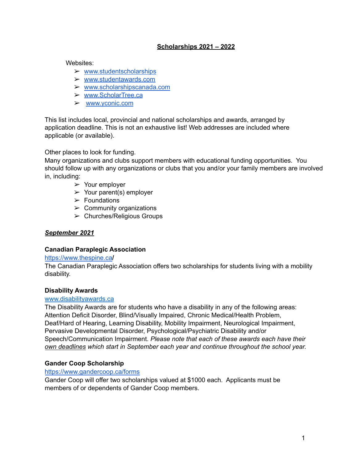# **Scholarships 2021 – 2022**

Websites:

- $\triangleright$  [www.studentscholarships](http://www.studentscholarships.org/)
- ➢ [www.studentawards.com](http://www.studentawards.com/)
- ➢ [www.scholarshipscanada.com](http://www.scholarshipscanada.com/)
- ➢ [www.ScholarTree.ca](http://www.scholartree.ca/)
- ➢ [www.yconic.com](https://yconic.com/)

This list includes local, provincial and national scholarships and awards, arranged by application deadline. This is not an exhaustive list! Web addresses are included where applicable (or available).

Other places to look for funding.

Many organizations and clubs support members with educational funding opportunities. You should follow up with any organizations or clubs that you and/or your family members are involved in, including:

- ➢ Your employer
- $\triangleright$  Your parent(s) employer
- $\triangleright$  Foundations
- $\triangleright$  Community organizations
- $\triangleright$  Churches/Religious Groups

# *September 2021*

## **Canadian Paraplegic Association**

#### [https://www.thespine.ca](https://www.thespine.ca/)**/**

The Canadian Paraplegic Association offers two scholarships for students living with a mobility disability.

#### **Disability Awards**

#### [www.disabilityawards.ca](http://www.disabilityawards.ca/)

The Disability Awards are for students who have a disability in any of the following areas: Attention Deficit Disorder, Blind/Visually Impaired, Chronic Medical/Health Problem, Deaf/Hard of Hearing, Learning Disability, Mobility Impairment, Neurological Impairment, Pervasive Developmental Disorder, Psychological/Psychiatric Disability and/or Speech/Communication Impairment. *Please note that each of these awards each have their own deadlines which start in September each year and continue throughout the school year.*

## **Gander Coop Scholarship**

#### <https://www.gandercoop.ca/forms>

Gander Coop will offer two scholarships valued at \$1000 each. Applicants must be members of or dependents of Gander Coop members.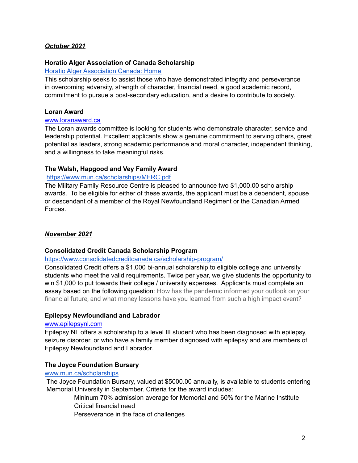# *October 2021*

#### **Horatio Alger Association of Canada Scholarship**

#### Horatio Alger [Association](https://horatioalger.ca/en/home/) Canada: Home

This scholarship seeks to assist those who have demonstrated integrity and perseverance in overcoming adversity, strength of character, financial need, a good academic record, commitment to pursue a post-secondary education, and a desire to contribute to society.

#### **Loran Award**

#### [www.loranaward.ca](http://www.loranaward.ca/)

The Loran awards committee is looking for students who demonstrate character, service and leadership potential. Excellent applicants show a genuine commitment to serving others, great potential as leaders, strong academic performance and moral character, independent thinking, and a willingness to take meaningful risks.

#### **The Walsh, Hapgood and Vey Family Award**

#### <https://www.mun.ca/scholarships/MFRC.pdf>

The Military Family Resource Centre is pleased to announce two \$1,000.00 scholarship awards. To be eligible for either of these awards, the applicant must be a dependent, spouse or descendant of a member of the Royal Newfoundland Regiment or the Canadian Armed Forces.

## *November 2021*

#### **Consolidated Credit Canada Scholarship Program**

#### <https://www.consolidatedcreditcanada.ca/scholarship-program/>

Consolidated Credit offers a \$1,000 bi-annual scholarship to eligible college and university students who meet the valid requirements. Twice per year, we give students the opportunity to win \$1,000 to put towards their college / university expenses. Applicants must complete an essay based on the following question: How has the pandemic informed your outlook on your financial future, and what money lessons have you learned from such a high impact event?

#### **Epilepsy Newfoundland and Labrador**

#### [www.epilepsynl.com](http://www.epilepsynl.com/)

Epilepsy NL offers a scholarship to a level III student who has been diagnosed with epilepsy, seizure disorder, or who have a family member diagnosed with epilepsy and are members of Epilepsy Newfoundland and Labrador.

#### **The Joyce Foundation Bursary**

#### [www.mun.ca/scholarships](http://www.mun.ca/scholarships)

The Joyce Foundation Bursary, valued at \$5000.00 annually, is available to students entering Memorial University in September. Criteria for the award includes:

> Mininum 70% admission average for Memorial and 60% for the Marine Institute Critical financial need

Perseverance in the face of challenges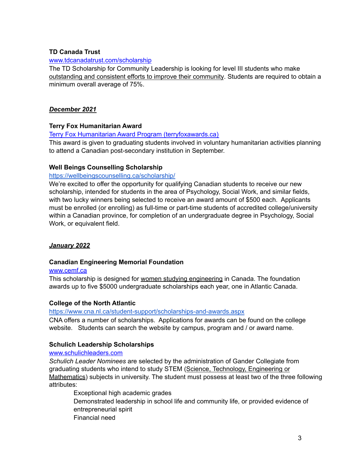# **TD Canada Trust**

#### [www.tdcanadatrust.com/scholarship](http://www.tdcanadatrust.com/scholarship)

The TD Scholarship for Community Leadership is looking for level III students who make outstanding and consistent efforts to improve their community. Students are required to obtain a minimum overall average of 75%.

# *December 2021*

# **Terry Fox Humanitarian Award**

## Terry Fox Humanitarian Award Program [\(terryfoxawards.ca\)](https://apply.terryfoxawards.ca/application-closed)

This award is given to graduating students involved in voluntary humanitarian activities planning to attend a Canadian post-secondary institution in September.

## **Well Beings Counselling Scholarship**

# <https://wellbeingscounselling.ca/scholarship/>

We're excited to offer the opportunity for qualifying Canadian students to receive our new scholarship, intended for students in the area of Psychology, Social Work, and similar fields, with two lucky winners being selected to receive an award amount of \$500 each. Applicants must be enrolled (or enrolling) as full-time or part-time students of accredited college/university within a Canadian province, for completion of an undergraduate degree in Psychology, Social Work, or equivalent field.

## *January 2022*

## **Canadian Engineering Memorial Foundation**

#### [www.cemf.ca](http://www.cemf.ca/)

This scholarship is designed for women studying engineering in Canada. The foundation awards up to five \$5000 undergraduate scholarships each year, one in Atlantic Canada.

## **College of the North Atlantic**

## <https://www.cna.nl.ca/student-support/scholarships-and-awards.aspx>

CNA offers a number of scholarships. Applications for awards can be found on the college website. Students can search the website by campus, program and / or award name.

# **Schulich Leadership Scholarships**

## [www.schulichleaders.com](http://www.schulichleaders.com/)

*Schulich Leader Nominees* are selected by the administration of Gander Collegiate from graduating students who intend to study STEM (Science, Technology, Engineering or Mathematics) subjects in university. The student must possess at least two of the three following attributes:

Exceptional high academic grades Demonstrated leadership in school life and community life, or provided evidence of entrepreneurial spirit Financial need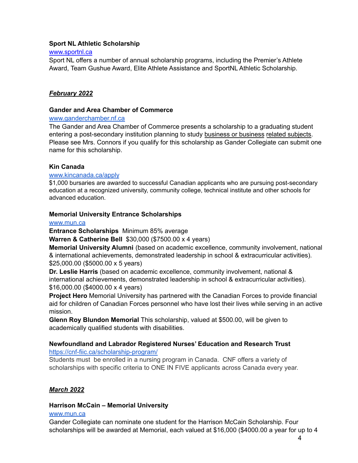## **Sport NL Athletic Scholarship**

#### [www.sportnl.ca](http://www.sportnl.ca/)

Sport NL offers a number of annual scholarship programs, including the Premier's Athlete Award, Team Gushue Award, Elite Athlete Assistance and SportNL Athletic Scholarship.

## *February 2022*

#### **Gander and Area Chamber of Commerce**

#### [www.ganderchamber.nf.ca](http://www.ganderchamber.nf.ca)

The Gander and Area Chamber of Commerce presents a scholarship to a graduating student entering a post-secondary institution planning to study business or business related subjects. Please see Mrs. Connors if you qualify for this scholarship as Gander Collegiate can submit one name for this scholarship.

## **Kin Canada**

#### [www.kincanada.ca/apply](http://www.kincanada.ca/apply)

\$1,000 bursaries are awarded to successful Canadian applicants who are pursuing post-secondary education at a recognized university, community college, technical institute and other schools for advanced education.

#### **Memorial University Entrance Scholarships**

#### [www.mun.ca](http://www.mun.ca)

**Entrance Scholarships** Minimum 85% average

**Warren & Catherine Bell** \$30,000 (\$7500.00 x 4 years)

**Memorial University Alumni** (based on academic excellence, community involvement, national & international achievements, demonstrated leadership in school & extracurricular activities). \$25,000.00 (\$5000.00 x 5 years)

**Dr. Leslie Harris** (based on academic excellence, community involvement, national & international achievements, demonstrated leadership in school & extracurricular activities). \$16,000.00 (\$4000.00 x 4 years)

**Project Hero** Memorial University has partnered with the Canadian Forces to provide financial aid for children of Canadian Forces personnel who have lost their lives while serving in an active mission.

**Glenn Roy Blundon Memorial** This scholarship, valued at \$500.00, will be given to academically qualified students with disabilities.

# **Newfoundland and Labrador Registered Nurses' Education and Research Trust**

<https://cnf-fiic.ca/scholarship-program/>

Students must be enrolled in a nursing program in Canada. CNF offers a variety of scholarships with specific criteria to ONE IN FIVE applicants across Canada every year.

# *March 2022*

## **Harrison McCain – Memorial University**

#### [www.mun.ca](http://www.mun.ca)

Gander Collegiate can nominate one student for the Harrison McCain Scholarship. Four scholarships will be awarded at Memorial, each valued at \$16,000 (\$4000.00 a year for up to 4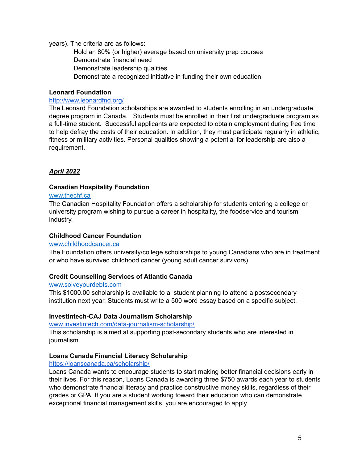#### years). The criteria are as follows:

Hold an 80% (or higher) average based on university prep courses Demonstrate financial need Demonstrate leadership qualities Demonstrate a recognized initiative in funding their own education.

#### **Leonard Foundation**

#### <http://www.leonardfnd.org/>

The Leonard Foundation scholarships are awarded to students enrolling in an undergraduate degree program in Canada. Students must be enrolled in their first undergraduate program as a full-time student. Successful applicants are expected to obtain employment during free time to help defray the costs of their education. In addition, they must participate regularly in athletic, fitness or military activities. Personal qualities showing a potential for leadership are also a requirement.

# *April 2022*

#### **Canadian Hospitality Foundation**

#### [www.thechf.ca](http://www.thechf.ca/)

The Canadian Hospitality Foundation offers a scholarship for students entering a college or university program wishing to pursue a career in hospitality, the foodservice and tourism industry.

#### **Childhood Cancer Foundation**

#### [www.childhoodcancer.ca](http://www.childhoodcancer.ca/)

The Foundation offers university/college scholarships to young Canadians who are in treatment or who have survived childhood cancer (young adult cancer survivors).

## **Credit Counselling Services of Atlantic Canada**

#### [www.solveyourdebts.com](http://www.solveyourdebts.com/)

This \$1000.00 scholarship is available to a student planning to attend a postsecondary institution next year. Students must write a 500 word essay based on a specific subject.

## **Investintech-CAJ Data Journalism Scholarship**

[www.investintech.com/data-journalism-scholarship/](http://www.investintech.com/data-journalism-scholarship/)

This scholarship is aimed at supporting post-secondary students who are interested in journalism.

## **Loans Canada Financial Literacy Scholarship**

#### <https://loanscanada.ca/scholarship/>

Loans Canada wants to encourage students to start making better financial decisions early in their lives. For this reason, Loans Canada is awarding three \$750 awards each year to students who demonstrate financial literacy and practice constructive money skills, regardless of their grades or GPA. If you are a student working toward their education who can demonstrate exceptional financial management skills, you are encouraged to apply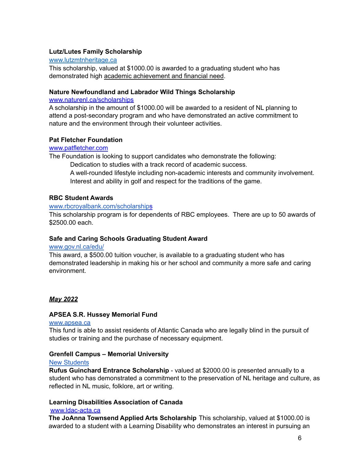# **Lutz/Lutes Family Scholarship**

#### [www.lutzmtnheritage.ca](http://www.lutzmtnheritage.ca/)

This scholarship, valued at \$1000.00 is awarded to a graduating student who has demonstrated high academic achievement and financial need.

## **Nature Newfoundland and Labrador Wild Things Scholarship**

#### [www.naturenl.ca/scholarships](http://www.naturenl.ca/scholarships)

A scholarship in the amount of \$1000.00 will be awarded to a resident of NL planning to attend a post-secondary program and who have demonstrated an active commitment to nature and the environment through their volunteer activities.

## **Pat Fletcher Foundation**

#### [www.patfletcher.com](http://www.patfletcher.com/)

The Foundation is looking to support candidates who demonstrate the following:

Dedication to studies with a track record of academic success.

A well-rounded lifestyle including non-academic interests and community involvement. Interest and ability in golf and respect for the traditions of the game.

#### **RBC Student Awards**

#### [www.rbcroyalbank.com/scholarship](http://www.rbcroyalbank.com/scholarship)[s](http://www.rbcroyalbank.com/scholarships)

This scholarship program is for dependents of RBC employees. There are up to 50 awards of \$2500.00 each.

## **Safe and Caring Schools Graduating Student Award**

#### [www.gov.nl.ca/edu/](http://www.gov.nl.ca/edu/)

This award, a \$500.00 tuition voucher, is available to a graduating student who has demonstrated leadership in making his or her school and community a more safe and caring environment.

## *May 2022*

#### **APSEA S.R. Hussey Memorial Fund**

#### [www.apsea.ca](http://www.apsea.ca)

This fund is able to assist residents of Atlantic Canada who are legally blind in the pursuit of studies or training and the purchase of necessary equipment.

## **Grenfell Campus – Memorial University**

#### New [Students](https://www.grenfell.mun.ca/Departments/Pages/Bursars-Office/Scholarships/New-Students.aspx)

**Rufus Guinchard Entrance Scholarship** - valued at \$2000.00 is presented annually to a student who has demonstrated a commitment to the preservation of NL heritage and culture, as reflected in NL music, folklore, art or writing.

# **Learning Disabilities Association of Canada**

#### [www.ldac-ac](http://www.ldac-taac.ca/)ta.ca

**The JoAnna Townsend Applied Arts Scholarship** This scholarship, valued at \$1000.00 is awarded to a student with a Learning Disability who demonstrates an interest in pursuing an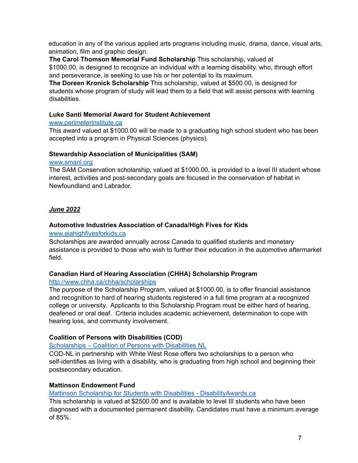education in any of the various applied arts programs including music, drama, dance, visual arts, animation, film and graphic design.

**The Carol Thomson Memorial Fund Scholarship** This scholarship, valued at \$1000.00, is designed to recognize an individual with a learning disability, who, through effort and perseverance, is seeking to use his or her potential to its maximum.

**The Doreen Kronick Scholarship** This scholarship, valued at \$500.00, is designed for students whose program of study will lead them to a field that will assist persons with learning disabilities.

# **Luke Santi Memorial Award for Student Achievement**

## [www.perimeterinstitute.ca](http://www.perimeterinstitute.ca/)

This award valued at \$1000.00 will be made to a graduating high school student who has been accepted into a program in Physical Sciences (physics).

# **Stewardship Association of Municipalities (SAM)**

## [www.smanl.org](http://www.smanl.org/)

The SAM Conservation scholarship, valued at \$1000.00, is provided to a level III student whose interest, activities and post-secondary goals are focused in the conservation of habitat in Newfoundland and Labrador.

# *June 2022*

# **Automotive Industries Association of Canada/High Fives for Kids**

## [www.aiahighfivesforkids.ca](http://www.aiahighfivesforkids.ca/)

Scholarships are awarded annually across Canada to qualified students and monetary assistance is provided to those who wish to further their education in the automotive aftermarket field.

# **Canadian Hard of Hearing Association (CHHA) Scholarship Program**

# <http://www.chha.ca/chha/scholarships>

The purpose of the Scholarship Program, valued at \$1000.00, is to offer financial assistance and recognition to hard of hearing students registered in a full time program at a recognized college or university. Applicants to this Scholarship Program must be either hard of hearing, deafened or oral deaf. Criteria includes academic achievement, determination to cope with hearing loss, and community involvement.

# **Coalition of Persons with Disabilities (COD)**

[Scholarships](https://codnl.ca/scholarships/) – Coalition of Persons with Disabilities NL

COD-NL in partnership with White West Rose offers two scholarships to a person who self-identifies as living with a disability, who is graduating from high school and beginning their postsecondary education.

# **Mattinson Endowment Fund**

# Mattinson Scholarship for Students with Disabilities - [DisabilityAwards.ca](http://www.disabilityawards.ca/mattinson-scholarship-for-students-with-disabilities/)

This scholarship is valued at \$2500.00 and is available to level III students who have been diagnosed with a documented permanent disability. Candidates must have a minimum average of 85%.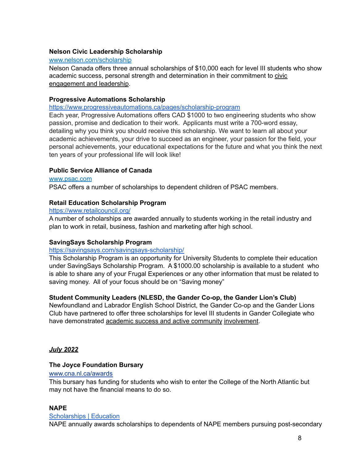# **Nelson Civic Leadership Scholarship**

#### [www.nelson.com/scholarship](http://www.nelson.com/scholarship)

Nelson Canada offers three annual scholarships of \$10,000 each for level III students who show academic success, personal strength and determination in their commitment to civic engagement and leadership.

## **Progressive Automations Scholarship**

#### <https://www.progressiveautomations.ca/pages/scholarship-program>

Each year, Progressive Automations offers CAD \$1000 to two engineering students who show passion, promise and dedication to their work. Applicants must write a 700-word essay, detailing why you think you should receive this scholarship. We want to learn all about your academic achievements, your drive to succeed as an engineer, your passion for the field, your personal achievements, your educational expectations for the future and what you think the next ten years of your professional life will look like!

# **Public Service Alliance of Canada**

#### [www.psac.com](http://www.psac.com/)

PSAC offers a number of scholarships to dependent children of PSAC members.

# **Retail Education Scholarship Program**

#### <https://www.retailcouncil.org/>

A number of scholarships are awarded annually to students working in the retail industry and plan to work in retail, business, fashion and marketing after high school.

## **SavingSays Scholarship Program**

## <https://savingsays.com/savingsays-scholarship/>

This Scholarship Program is an opportunity for University Students to complete their education under SavingSays Scholarship Program. A \$1000.00 scholarship is available to a student who is able to share any of your Frugal Experiences or any other information that must be related to saving money. All of your focus should be on "Saving money"

## **Student Community Leaders (NLESD, the Gander Co-op, the Gander Lion's Club)**

Newfoundland and Labrador English School District, the Gander Co-op and the Gander Lions Club have partnered to offer three scholarships for level III students in Gander Collegiate who have demonstrated academic success and active community involvement.

## *July 2022*

## **The Joyce Foundation Bursary**

[www.cna.nl.ca/awards](http://www.cna.nl.ca/awards)

This bursary has funding for students who wish to enter the College of the North Atlantic but may not have the financial means to do so.

## **NAPE**

# [Scholarships](https://www.nape.ca/education/scholarships/) | Education

NAPE annually awards scholarships to dependents of NAPE members pursuing post-secondary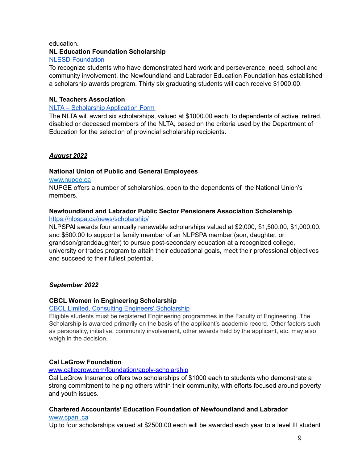#### education.

# **NL Education Foundation Scholarship**

# NLESD [Foundation](https://www.nlesd.ca/foundation/scholarshippolicy.jsp)

To recognize students who have demonstrated hard work and perseverance, need, school and community involvement, the Newfoundland and Labrador Education Foundation has established a scholarship awards program. Thirty six graduating students will each receive \$1000.00.

# **NL Teachers Association**

## NLTA – [Scholarship](http://www.nlta.nl.ca/scholarship-application-form/) Application Form

The NLTA will award six scholarships, valued at \$1000.00 each, to dependents of active, retired, disabled or deceased members of the NLTA, based on the criteria used by the Department of Education for the selection of provincial scholarship recipients.

# *August 2022*

# **National Union of Public and General Employees**

#### [www.nupge.ca](http://www.nupge.ca/)

NUPGE offers a number of scholarships, open to the dependents of the National Union's members.

# **Newfoundland and Labrador Public Sector Pensioners Association Scholarship**

#### <https://nlpspa.ca/news/scholarship/>

NLPSPAl awards four annually renewable scholarships valued at \$2,000, \$1,500.00, \$1,000.00, and \$500.00 to support a family member of an NLPSPA member (son, daughter, or grandson/granddaughter) to pursue post-secondary education at a recognized college, university or trades program to attain their educational goals, meet their professional objectives and succeed to their fullest potential.

## *September 2022*

## **CBCL Women in Engineering Scholarship**

# CBCL Limited, Consulting Engineers' [Scholarship](http://scholarships.studentscholarships.org/cbcl_limited_consulting_engineers_scholarship_5552.php)

Eligible students must be registered Engineering programmes in the Faculty of Engineering. The Scholarship is awarded primarily on the basis of the applicant's academic record. Other factors such as personality, initiative, community involvement, other awards held by the applicant, etc. may also weigh in the decision.

## **Cal LeGrow Foundation**

## [www.callegrow.com/foundation/apply-scholarship](http://www.callegrow.com/foundation/apply-scholarship)

Cal LeGrow Insurance offers two scholarships of \$1000 each to students who demonstrate a strong commitment to helping others within their community, with efforts focused around poverty and youth issues.

# **Chartered Accountants' Education Foundation of Newfoundland and Labrador**

#### [www.cpanl.ca](http://www.cpanl.ca)

Up to four scholarships valued at \$2500.00 each will be awarded each year to a level III student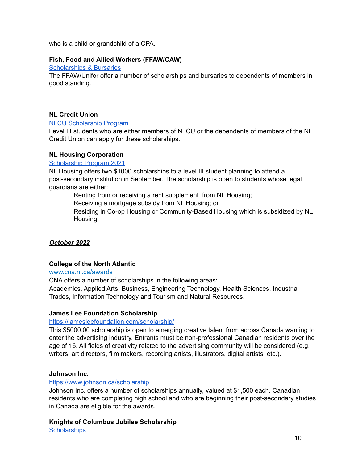who is a child or grandchild of a CPA.

## **Fish, Food and Allied Workers (FFAW/CAW)**

[Scholarships](https://ffaw.ca/for-members/member-resources/scholarships-bursaries/) & Bursaries

The FFAW/Unifor offer a number of scholarships and bursaries to dependents of members in good standing.

# **NL Credit Union**

#### NLCU [Scholarship](https://www.nlcu.com/Home/InOurCommunity/NLCUScholarshipProgram/) Program

Level III students who are either members of NLCU or the dependents of members of the NL Credit Union can apply for these scholarships.

#### **NL Housing Corporation**

#### [Scholarship](https://www.nlhc.nl.ca/scholarship-program/) Program 2021

NL Housing offers two \$1000 scholarships to a level III student planning to attend a post-secondary institution in September. The scholarship is open to students whose legal guardians are either:

Renting from or receiving a rent supplement from NL Housing;

Receiving a mortgage subsidy from NL Housing; or

Residing in Co-op Housing or Community-Based Housing which is subsidized by NL Housing.

## *October 2022*

## **College of the North Atlantic**

#### [www.cna.nl.ca/awards](http://www.cna.nl.ca/awards)

CNA offers a number of scholarships in the following areas:

Academics, Applied Arts, Business, Engineering Technology, Health Sciences, Industrial Trades, Information Technology and Tourism and Natural Resources.

## **James Lee Foundation Scholarship**

#### <https://jamesleefoundation.com/scholarship/>

This \$5000.00 scholarship is open to emerging creative talent from across Canada wanting to enter the advertising industry. Entrants must be non-professional Canadian residents over the age of 16. All fields of creativity related to the advertising community will be considered (e.g. writers, art directors, film makers, recording artists, illustrators, digital artists, etc.).

## **Johnson Inc.**

#### <https://www.johnson.ca/scholarship>

Johnson Inc. offers a number of scholarships annually, valued at \$1,500 each. Canadian residents who are completing high school and who are beginning their post-secondary studies in Canada are eligible for the awards.

**Knights of Columbus Jubilee Scholarship [Scholarships](https://kofcnl.org/scholarships)**